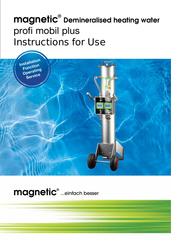# $\mathsf{magnetic}^{\scriptscriptstyle{\textregistered}}$  Demineralised heating water profi mobil plus **Instructions for Use**



magnetic<sup>®</sup> ...einfach besser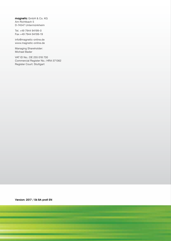magnetic GmbH & Co. KG Am Richtbach 5 D-74547 Untermünkheim

Tel. +49 7944 94199-0 Fax +49 7944 94199-19

info@magnetic-online.de www.magnetic-online.de

Managing Shareholder: Michael Bader

VAT ID No.: DE 255 018 730 Commercial Register No.: HRA 571362 Register Court: Stuttgart

Version: 2017 / 06 BA profi EN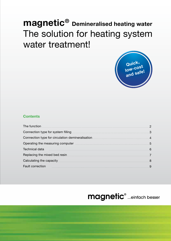## **magnetic® Demineralised heating water** The solution for heating system water treatment!



## **Contents**

| The function                                                                                                                                                                                                                         |   |
|--------------------------------------------------------------------------------------------------------------------------------------------------------------------------------------------------------------------------------------|---|
|                                                                                                                                                                                                                                      |   |
|                                                                                                                                                                                                                                      |   |
| Operating the measuring computer <b>container and the contract of the contract of the contract of the contract of the contract of the contract of the contract of the contract of the contract of the contract of the contract o</b> |   |
| <b>Technical data</b>                                                                                                                                                                                                                | 6 |
| Replacing the mixed bed resin                                                                                                                                                                                                        |   |
| Calculating the capacity <b>Calculation Calculation</b> Calculation Calculation Calculation Calculation Calculation Ca                                                                                                               |   |
| <b>Fault correction</b>                                                                                                                                                                                                              |   |

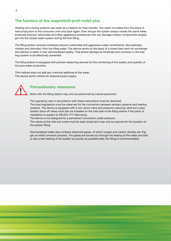## **The function of the magnetic® profi mobil plus**

Heating and cooling systems use water as a medium for heat transfer. The water circulates from the place of heat production to the consumer units and back again. Even though the system always reuses the same water, limescale (calcium carbonate) and other aggressive substances that can damage modern components already get into the closed water system during the first filling.

The filling station removes limescale (calcium carbonate) and aggressive water constituents, like sulphates, nitrates and chlorides, from the filling water. The device works on the basis of a mixed-bed-resin ion exchanger and delivers a water in fully demineralised quality. That allows damage by limescale and corrosion in the heating system to be effectively prevented.

The filling station is equipped with precise measuring devices for the monitoring of the quality and quantity of the pure water production.

This method does not add any chemical additives to the water. The device works without an external power supply.



### ! **Precautionary measures:**

Work with the filling station may only be performed by trained personnel.

The operating rules in accordance with these instructions must be observed.

The local regulations must be observed for the connection between sanitary systems and heating systems. The device is equipped with a non-return valve and pressure-reducing valve but a pipe isolator (shut-off valve) must also be installed on the inlet side of the filling station if the place of installation is subject to DIN EN 1717 (Germany).

The device is not designed for a permanent connection under pressure.

The valves at the inlet and outlet must be kept closed and may only be opened for the duration of the system filling.

Demineralised water also contains dissolved gases, of which oxygen and carbon dioxide can trigger an initial corrosion process. The gases are forced out through the heating of the water and that is why a test heating of the system as quickly as possible after the filling is recommendable.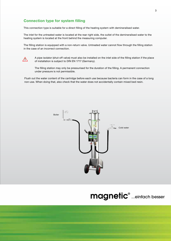## **Connection type for system filling**

This connection type is suitable for a direct filling of the heating system with demineralised water.

The inlet for the untreated water is located at the rear right side, the outlet of the demineralised water to the heating system is located at the front behind the measuring computer.

The filling station is equipped with a non-return valve. Untreated water cannot flow through the filling station in the case of an incorrect connection.



A pipe isolator (shut-off valve) must also be installed on the inlet side of the filling station if the place of installation is subject to DIN EN 1717 (Germany).

The filling station may only be pressurised for the duration of the filling. A permanent connection under pressure is not permissible.

Flush out the water content of the cartridge before each use because bacteria can form in the case of a long non-use. When doing that, also check that the water does not accidentally contain mixed bed resin.



## magnetic® ...einfach besser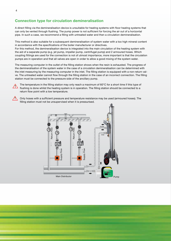## **Connection type for circulation demineralisation**

A direct filling via the demineralisation device is unsuitable for heating systems with floor heating systems that can only be vented through flushing. The pump power is not sufficient for forcing the air out of a horizontal pipe. In such a case, we recommend a filling with untreated water and then a circulation demineralisation.

This method is also suitable for a subsequent demineralisation of system water with a too high mineral content in accordance with the specifications of the boiler manufacturer or directives.

For this method, the demineralisation device is integrated into the main circulation of the heating system with the aid of a separate pump (e.g. jet pump, impeller pump, centrifugal pump) and 2 armoured hoses. Which coupling fittings are used for the connection is not of utmost importance, more important is that the circulation pumps are in operation and that all valves are open in order to allow a good mixing of the system water.

The measuring computer in the outlet of the filling station shows when the resin is exhausted. The progress of the demineralisation of the system water in the case of a circulation demineralisation can be determined with the inlet measuring by the measuring computer in the inlet. The filling station is equipped with a non-return valve. The untreated water cannot flow through the filling station in the case of an incorrect connection. The filling station must be connected to the pressure side of the ancillary pump.

The temperature in the filling station may only reach a maximum of 60°C for a short time if this type of flushing is done whilst the heating system is in operation. The filling station should be connected to a return flow point with a low temperature.

Only hoses with a sufficient pressure and temperature resistance may be used (armoured hoses). The filling station must not be unsupervised when it is pressurised.



!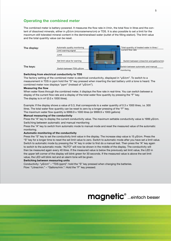## **Operating the combined meter**

The combined meter is battery-powered. It measures the flow rate in l/min, the total flow in litres and the content of dissolved minerals, either in μS/cm (microsiemens/cm) or TDS. It is also possible to set a limit for the maximum still tolerated mineral content in the demineralised water (outlet of the filling station). The limit value and the total quantity value can be reset.



#### **Switching from electrical conductivity to TDS**

The factory setting of the combined meter is electrical conductivity, displayed in "μS/cm". To switch to a measurement in TDS in ppm hold the "S" key pressed when inserting the last battery until a tone is heard. The combined meter now displays "ppm" (instead of "μS/cm").

#### **Measuring the flow**

When water flows through the combined meter, it displays the flow rate in real-time. You can switch between a display of the current flow rate and a display of the total water flow quantity by pressing the "F" key. The display is in  $m^3$  (0.0 x 1000 litres).

Example: If the display shows a value of 0.3, that corresponds to a water quantity of 0.3 x 1000 litres, i.e. 300 litres. The total water flow quantity can be reset to zero by a longer pressing of the "F" key.

The maximum water flow quantity is 9999.9 x 1000 litres (or 9999.9 x 1000 gallons)

#### **Manual measuring of the conductivity**

Press the "A" key to display the current conductivity value. The maximum settable conductivity value is 1999 μS/cm. **Switching between automatic and manual monitoring**

Press the "A" key to switch from automatic mode to manual mode and reset the measured value of the automatic monitoring.

#### **Automatic monitoring of the conductivity**

Press the "S" key to set the conductivity limit value in the display. The increase step value is 15 μS/cm. Press the "S" key for a longer time to reset the set limit value to zero. Switch to automatic mode after you have set a limit value. Switch to automatic mode by pressing the "A" key in order to first do a manual test. Then press the "A" key again to switch to the automatic mode. "AUTO" will now be shown in the middle of the display. The conductivity will then be measured again every 40 litres. If the measured value is below the previously set limit value, the LED in the upper left corner of the display will blink green for 30 seconds. If the measured value is above the set limit value, the LED will blink red and an alarm tone will be given.

#### **Switching between measuring units**

Conductivity: "μS/cm" – "TDS (ppm)": hold the "S" key pressed when changing the batteries. Flow: "Litres/min." – "Gallons/min.": Hold the "F" key pressed.

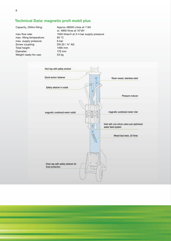## **Technical Data: magnetic profi mobil plus**

max. filling temperature: 60 °C max. supply pressure: 6 bar 6 bar Screw coupling: 0 1 DN 20 / 34" AG Screw coupling: Total height: 1490 mm Diameter: 170 mm Weight ready-for-use: 53 kg

Capacity, 25litre filling: Approx 48000 Litres at 1°dH or. 4800 litres at 10°dH max flow rate: 1500 litres/h at 3-4 bar supply pressure

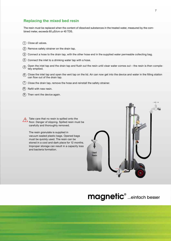### **Replacing the mixed bed resin**

The resin must be replaced when the content of dissolved substances in the treated water, measured by the combined meter, exceeds 60 µS/cm or 40 TDS.

- $\left(1\right)$  Close all valves.
- 2) Remove safety strainer on the drain tap.
- 3) Connect a hose to the drain tap, with the other hose end in the supplied water permeable collecting bag.
- $(4)$  Connect the inlet to a drinking water tap with a hose.
- Open the inlet tap and the drain tap and flush out the resin until clear water comes out the resin is then completely emptied.  $(5)$
- $6)$  Close the inlet tap and open the vent tap on the lid. Air can now get into the device and water in the filling station can flow out of the drain tap.
- $(7)$  Close the drain tap, remove the hose and reinstall the safety strainer.
- $(8)$  Refill with new resin.
- $9)$  Then vent the device again.



The resin granulate is supplied in vacuum sealed plastic bags. Opened bags must be quickly used. The resin can be stored in a cool and dark place for 12 months. Improper storage can result in a capacity loss and bacteria formation.



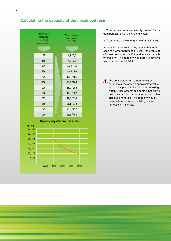

## **Calculating the capacity of the mixed bed resin**

1. To ascertain the resin quantity needed for the demineralisation of the system water.

2. To estimate the working time of a resin filling.

A capacity of 48  $m<sup>3</sup>$  at 1 $\degree$ dH, means that in the case of a water hardness of 20°dH, the value of 48 must be divided by 20 to calculate a capacity of 2.4 m<sup>3</sup>. The capacity would be 4.8 m<sup>3</sup> for a water hardness of 10°dH.

The conversion from µS/cm to water hardness gives only an approximate value and is only possible for untreated drinking water. Other water types contain not only limescale (calcium carbonate) but also other dissolved minerals. The capacity would then be less because the filling station removes all minerals.

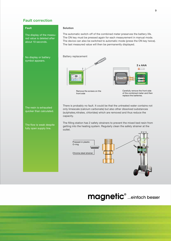## **Fault correction**

**Fault**

The display of the measured value is deleted after about 10 seconds.

### No display or battery symbol appears.

#### **Solution**

The automatic switch-off of the combined meter preserves the battery life. The ON key must be pressed again for each measurement in manual mode. The device can also be switched to automatic mode (press the ON key twice). The last measured value will then be permanently displayed.



Remove the screws on the front side

Carefully remove the front side of the combined meter and then replace the batteries.

The resin is exhausted quicker than calculated.

The flow is weak despite fully open supply line.

There is probably no fault. It could be that the untreated water contains not only limescale (calcium carbonate) but also other dissolved substances (sulphates,nitrates, chlorides) which are removed and thus reduce the capacity.

The filling station has 2 safety strainers to prevent the mixed bed resin from getting into the heating system. Regularly clean the safety strainer at the outlet.